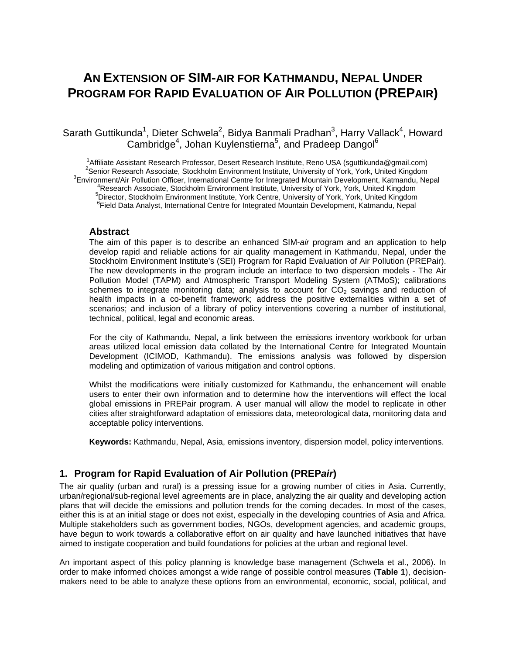# **AN EXTENSION OF SIM-AIR FOR KATHMANDU, NEPAL UNDER PROGRAM FOR RAPID EVALUATION OF AIR POLLUTION (PREPAIR)**

## Sarath Guttikunda<sup>1</sup>, Dieter Schwela<sup>2</sup>, Bidya Banmali Pradhan<sup>3</sup>, Harry Vallack<sup>4</sup>, Howard Cambridge<sup>4</sup>, Johan Kuylenstierna<sup>5</sup>, and Pradeep Dangol<sup>6</sup>

<sup>1</sup> Affiliate Assistant Research Professor, Desert Research Institute, Reno USA (sguttikunda@gmail.com) <sup>2</sup> Series Research Assessite, Steekhelm Environment Institute, University of Verk, Verk, United Kingdom Senior Research Associate, Stockholm Environment Institute, University of York, York, United Kingdom 3 <sup>3</sup>Environment/Air Pollution Officer, International Centre for Integrated Mountain Development, Katmandu, Nepal<br><sup>4</sup>Research Associate, Stockholm Environment Institute, University of York, York, United Kingdom <sup>4</sup>Research Associate, Stockholm Environment Institute, University of York, York, United Kingdom<br><sup>5</sup>Director, Stackholm Environment Institute, Vark Centre, University of Vark, Vark, United Kingdom 'Director, Stockholm Environment Institute, York Centre, University of York, York, United Kingdom<br><sup>6</sup>Field Data Anglyst, International Centre for Integrated Meuntain Development, Ketmondy, Napol <sup>6</sup>Field Data Analyst, International Centre for Integrated Mountain Development, Katmandu, Nepal

### **Abstract**

The aim of this paper is to describe an enhanced SIM-*air* program and an application to help develop rapid and reliable actions for air quality management in Kathmandu, Nepal, under the Stockholm Environment Institute's (SEI) Program for Rapid Evaluation of Air Pollution (PREPair). The new developments in the program include an interface to two dispersion models - The Air Pollution Model (TAPM) and Atmospheric Transport Modeling System (ATMoS); calibrations schemes to integrate monitoring data; analysis to account for  $CO<sub>2</sub>$  savings and reduction of health impacts in a co-benefit framework; address the positive externalities within a set of scenarios; and inclusion of a library of policy interventions covering a number of institutional, technical, political, legal and economic areas.

For the city of Kathmandu, Nepal, a link between the emissions inventory workbook for urban areas utilized local emission data collated by the International Centre for Integrated Mountain Development (ICIMOD, Kathmandu). The emissions analysis was followed by dispersion modeling and optimization of various mitigation and control options.

Whilst the modifications were initially customized for Kathmandu, the enhancement will enable users to enter their own information and to determine how the interventions will effect the local global emissions in PREPair program. A user manual will allow the model to replicate in other cities after straightforward adaptation of emissions data, meteorological data, monitoring data and acceptable policy interventions.

**Keywords:** Kathmandu, Nepal, Asia, emissions inventory, dispersion model, policy interventions.

## **1. Program for Rapid Evaluation of Air Pollution (PREP***air***)**

The air quality (urban and rural) is a pressing issue for a growing number of cities in Asia. Currently, urban/regional/sub-regional level agreements are in place, analyzing the air quality and developing action plans that will decide the emissions and pollution trends for the coming decades. In most of the cases, either this is at an initial stage or does not exist, especially in the developing countries of Asia and Africa. Multiple stakeholders such as government bodies, NGOs, development agencies, and academic groups, have begun to work towards a collaborative effort on air quality and have launched initiatives that have aimed to instigate cooperation and build foundations for policies at the urban and regional level.

An important aspect of this policy planning is knowledge base management (Schwela et al., 2006). In order to make informed choices amongst a wide range of possible control measures (**Table 1**), decisionmakers need to be able to analyze these options from an environmental, economic, social, political, and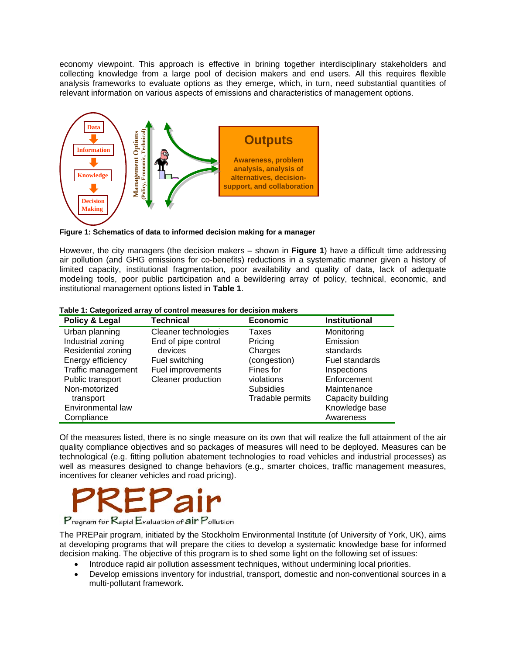economy viewpoint. This approach is effective in brining together interdisciplinary stakeholders and collecting knowledge from a large pool of decision makers and end users. All this requires flexible analysis frameworks to evaluate options as they emerge, which, in turn, need substantial quantities of relevant information on various aspects of emissions and characteristics of management options.



**Figure 1: Schematics of data to informed decision making for a manager** 

However, the city managers (the decision makers – shown in **Figure 1**) have a difficult time addressing air pollution (and GHG emissions for co-benefits) reductions in a systematic manner given a history of limited capacity, institutional fragmentation, poor availability and quality of data, lack of adequate modeling tools, poor public participation and a bewildering array of policy, technical, economic, and institutional management options listed in **Table 1**.

| Policy & Legal     | Technical            | <b>Economic</b>  | <b>Institutional</b>  |
|--------------------|----------------------|------------------|-----------------------|
| Urban planning     | Cleaner technologies | Taxes            | Monitoring            |
| Industrial zoning  | End of pipe control  | Pricing          | Emission              |
| Residential zoning | devices              | Charges          | standards             |
| Energy efficiency  | Fuel switching       | (congestion)     | <b>Fuel standards</b> |
| Traffic management | Fuel improvements    | Fines for        | Inspections           |
| Public transport   | Cleaner production   | violations       | Enforcement           |
| Non-motorized      |                      | <b>Subsidies</b> | Maintenance           |
| transport          |                      | Tradable permits | Capacity building     |
| Environmental law  |                      |                  | Knowledge base        |
| Compliance         |                      |                  | Awareness             |

|  |  | Table 1: Categorized array of control measures for decision makers |  |  |
|--|--|--------------------------------------------------------------------|--|--|
|  |  |                                                                    |  |  |

Of the measures listed, there is no single measure on its own that will realize the full attainment of the air quality compliance objectives and so packages of measures will need to be deployed. Measures can be technological (e.g. fitting pollution abatement technologies to road vehicles and industrial processes) as well as measures designed to change behaviors (e.g., smarter choices, traffic management measures, incentives for cleaner vehicles and road pricing).



Program for Rapid Evaluation of air Pollution

The PREPair program, initiated by the Stockholm Environmental Institute (of University of York, UK), aims at developing programs that will prepare the cities to develop a systematic knowledge base for informed decision making. The objective of this program is to shed some light on the following set of issues:

- Introduce rapid air pollution assessment techniques, without undermining local priorities.
- Develop emissions inventory for industrial, transport, domestic and non-conventional sources in a multi-pollutant framework.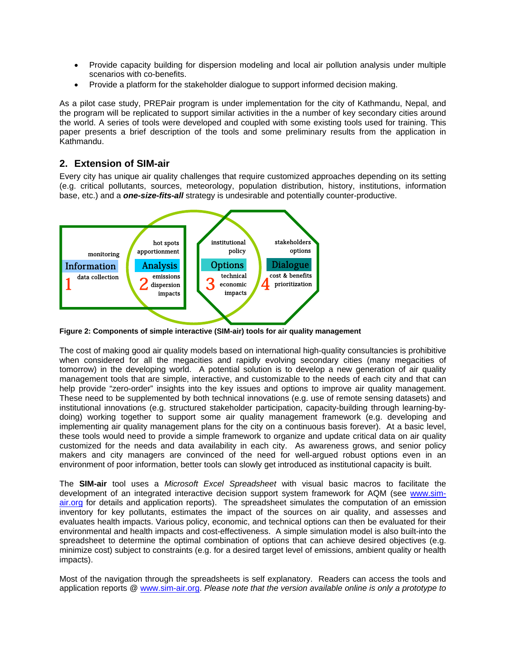- Provide capacity building for dispersion modeling and local air pollution analysis under multiple scenarios with co-benefits.
- Provide a platform for the stakeholder dialogue to support informed decision making.

As a pilot case study, PREPair program is under implementation for the city of Kathmandu, Nepal, and the program will be replicated to support similar activities in the a number of key secondary cities around the world. A series of tools were developed and coupled with some existing tools used for training. This paper presents a brief description of the tools and some preliminary results from the application in Kathmandu.

## **2. Extension of SIM-air**

Every city has unique air quality challenges that require customized approaches depending on its setting (e.g. critical pollutants, sources, meteorology, population distribution, history, institutions, information base, etc.) and a *one-size-fits-all* strategy is undesirable and potentially counter-productive.



**Figure 2: Components of simple interactive (SIM-air) tools for air quality management** 

The cost of making good air quality models based on international high-quality consultancies is prohibitive when considered for all the megacities and rapidly evolving secondary cities (many megacities of tomorrow) in the developing world. A potential solution is to develop a new generation of air quality management tools that are simple, interactive, and customizable to the needs of each city and that can help provide "zero-order" insights into the key issues and options to improve air quality management. These need to be supplemented by both technical innovations (e.g. use of remote sensing datasets) and institutional innovations (e.g. structured stakeholder participation, capacity-building through learning-bydoing) working together to support some air quality management framework (e.g. developing and implementing air quality management plans for the city on a continuous basis forever). At a basic level, these tools would need to provide a simple framework to organize and update critical data on air quality customized for the needs and data availability in each city. As awareness grows, and senior policy makers and city managers are convinced of the need for well-argued robust options even in an environment of poor information, better tools can slowly get introduced as institutional capacity is built.

The **SIM-air** tool uses a *Microsoft Excel Spreadsheet* with visual basic macros to facilitate the development of an integrated interactive decision support system framework for AQM (see www.simair.org for details and application reports). The spreadsheet simulates the computation of an emission inventory for key pollutants, estimates the impact of the sources on air quality, and assesses and evaluates health impacts. Various policy, economic, and technical options can then be evaluated for their environmental and health impacts and cost-effectiveness. A simple simulation model is also built-into the spreadsheet to determine the optimal combination of options that can achieve desired objectives (e.g. minimize cost) subject to constraints (e.g. for a desired target level of emissions, ambient quality or health impacts).

Most of the navigation through the spreadsheets is self explanatory. Readers can access the tools and application reports @ www.sim-air.org. *Please note that the version available online is only a prototype to*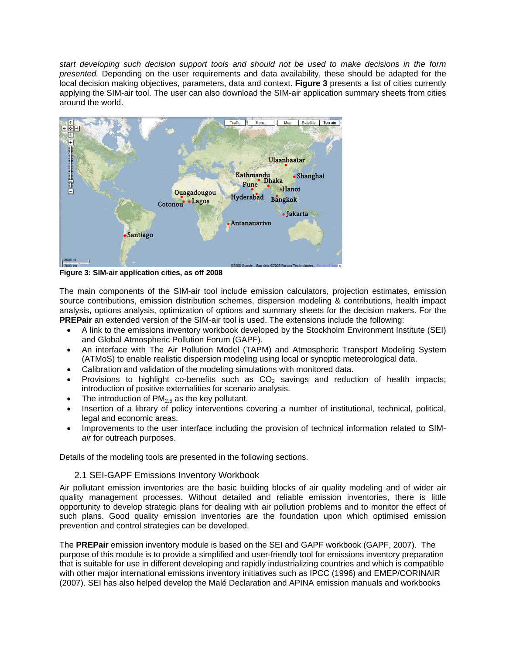*start developing such decision support tools and should not be used to make decisions in the form presented.* Depending on the user requirements and data availability, these should be adapted for the local decision making objectives, parameters, data and context. **Figure 3** presents a list of cities currently applying the SIM-air tool. The user can also download the SIM-air application summary sheets from cities around the world.



**Figure 3: SIM-air application cities, as off 2008** 

The main components of the SIM-air tool include emission calculators, projection estimates, emission source contributions, emission distribution schemes, dispersion modeling & contributions, health impact analysis, options analysis, optimization of options and summary sheets for the decision makers. For the **PREPair** an extended version of the SIM-air tool is used. The extensions include the following:

- A link to the emissions inventory workbook developed by the Stockholm Environment Institute (SEI) and Global Atmospheric Pollution Forum (GAPF).
- An interface with The Air Pollution Model (TAPM) and Atmospheric Transport Modeling System (ATMoS) to enable realistic dispersion modeling using local or synoptic meteorological data.
- Calibration and validation of the modeling simulations with monitored data.
- Provisions to highlight co-benefits such as  $CO<sub>2</sub>$  savings and reduction of health impacts; introduction of positive externalities for scenario analysis.
- The introduction of  $PM<sub>2.5</sub>$  as the key pollutant.
- Insertion of a library of policy interventions covering a number of institutional, technical, political, legal and economic areas.
- Improvements to the user interface including the provision of technical information related to SIM*air* for outreach purposes.

Details of the modeling tools are presented in the following sections.

### 2.1 SEI-GAPF Emissions Inventory Workbook

Air pollutant emission inventories are the basic building blocks of air quality modeling and of wider air quality management processes. Without detailed and reliable emission inventories, there is little opportunity to develop strategic plans for dealing with air pollution problems and to monitor the effect of such plans. Good quality emission inventories are the foundation upon which optimised emission prevention and control strategies can be developed.

The **PREPair** emission inventory module is based on the SEI and GAPF workbook (GAPF, 2007). The purpose of this module is to provide a simplified and user-friendly tool for emissions inventory preparation that is suitable for use in different developing and rapidly industrializing countries and which is compatible with other major international emissions inventory initiatives such as IPCC (1996) and EMEP/CORINAIR (2007). SEI has also helped develop the Malé Declaration and APINA emission manuals and workbooks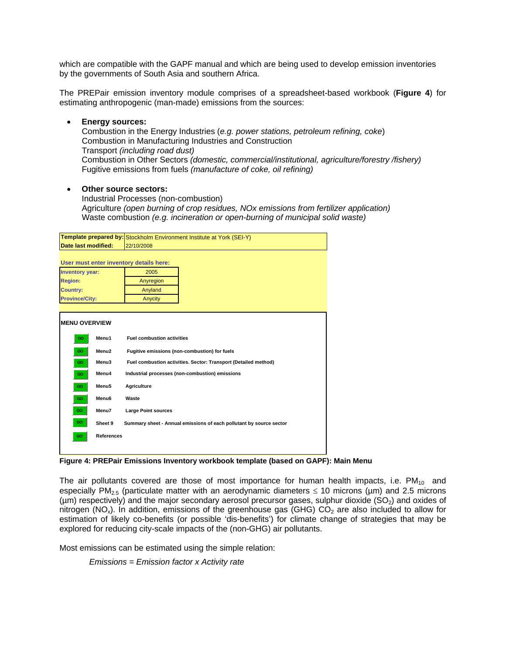which are compatible with the GAPF manual and which are being used to develop emission inventories by the governments of South Asia and southern Africa.

The PREPair emission inventory module comprises of a spreadsheet-based workbook (**Figure 4**) for estimating anthropogenic (man-made) emissions from the sources:

- **Energy sources:**  Combustion in the Energy Industries (*e.g. power stations, petroleum refining, coke*) Combustion in Manufacturing Industries and Construction Transport *(including road dust)*  Combustion in Other Sectors *(domestic, commercial/institutional, agriculture/forestry /fishery)*  Fugitive emissions from fuels *(manufacture of coke, oil refining)*
- **Other source sectors:**

 Industrial Processes (non-combustion) Agriculture *(open burning of crop residues, NOx emissions from fertilizer application)*  Waste combustion *(e.g. incineration or open-burning of municipal solid waste)*

|                        |                   | Template prepared by: Stockholm Environment Institute at York (SEI-Y) |  |  |  |  |  |
|------------------------|-------------------|-----------------------------------------------------------------------|--|--|--|--|--|
| Date last modified:    |                   | 22/10/2008                                                            |  |  |  |  |  |
|                        |                   | User must enter inventory details here:                               |  |  |  |  |  |
| <b>Inventory year:</b> |                   | 2005                                                                  |  |  |  |  |  |
| <b>Region:</b>         |                   | Anyregion                                                             |  |  |  |  |  |
| <b>Country:</b>        |                   | Anyland                                                               |  |  |  |  |  |
| <b>Province/City:</b>  |                   | Anycity                                                               |  |  |  |  |  |
|                        |                   |                                                                       |  |  |  |  |  |
| <b>MENU OVERVIEW</b>   |                   |                                                                       |  |  |  |  |  |
| GO                     | Menu1             | <b>Fuel combustion activities</b>                                     |  |  |  |  |  |
| GO                     | Menu <sub>2</sub> | Fugitive emissions (non-combustion) for fuels                         |  |  |  |  |  |
| GO.                    | Menu3             | Fuel combustion activities. Sector: Transport (Detailed method)       |  |  |  |  |  |
| GO.                    | Menu4             | Industrial processes (non-combustion) emissions                       |  |  |  |  |  |
| GO.                    | Menu5             | Agriculture                                                           |  |  |  |  |  |
| GO.                    | Menu6             | Waste                                                                 |  |  |  |  |  |
| GO.                    | Menu7             | <b>Large Point sources</b>                                            |  |  |  |  |  |
| GO.                    | Sheet 9           | Summary sheet - Annual emissions of each pollutant by source sector   |  |  |  |  |  |
| GO.                    | <b>References</b> |                                                                       |  |  |  |  |  |
|                        |                   |                                                                       |  |  |  |  |  |

**Figure 4: PREPair Emissions Inventory workbook template (based on GAPF): Main Menu** 

The air pollutants covered are those of most importance for human health impacts, i.e.  $PM_{10}$  and especially PM<sub>2.5</sub> (particulate matter with an aerodynamic diameters  $\leq$  10 microns (µm) and 2.5 microns ( $\mu$ m) respectively) and the major secondary aerosol precursor gases, sulphur dioxide ( $SO<sub>2</sub>$ ) and oxides of nitrogen (NO<sub>x</sub>). In addition, emissions of the greenhouse gas (GHG)  $CO<sub>2</sub>$  are also included to allow for estimation of likely co-benefits (or possible 'dis-benefits') for climate change of strategies that may be explored for reducing city-scale impacts of the (non-GHG) air pollutants.

Most emissions can be estimated using the simple relation:

*Emissions = Emission factor x Activity rate*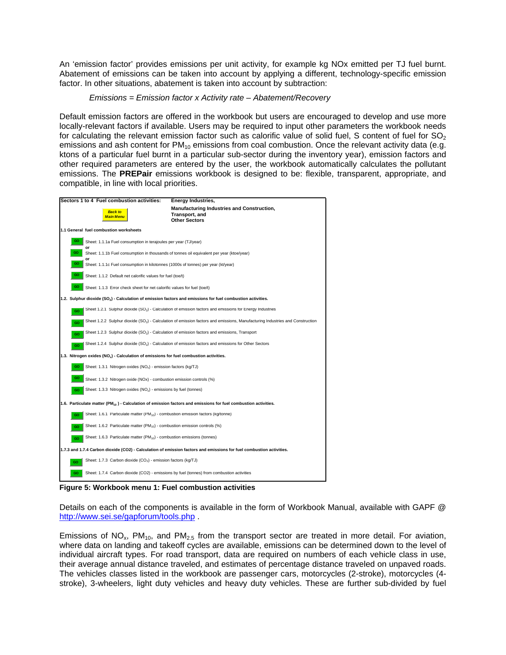An 'emission factor' provides emissions per unit activity, for example kg NOx emitted per TJ fuel burnt. Abatement of emissions can be taken into account by applying a different, technology-specific emission factor. In other situations, abatement is taken into account by subtraction:

### *Emissions = Emission factor x Activity rate – Abatement/Recovery*

Default emission factors are offered in the workbook but users are encouraged to develop and use more locally-relevant factors if available. Users may be required to input other parameters the workbook needs for calculating the relevant emission factor such as calorific value of solid fuel, S content of fuel for  $SO<sub>2</sub>$ emissions and ash content for  $PM_{10}$  emissions from coal combustion. Once the relevant activity data (e.g. ktons of a particular fuel burnt in a particular sub-sector during the inventory year), emission factors and other required parameters are entered by the user, the workbook automatically calculates the pollutant emissions. The **PREPair** emissions workbook is designed to be: flexible, transparent, appropriate, and compatible, in line with local priorities.



**Figure 5: Workbook menu 1: Fuel combustion activities** 

Details on each of the components is available in the form of Workbook Manual, available with GAPF @ http://www.sei.se/gapforum/tools.php .

Emissions of NO<sub>x</sub>, PM<sub>10</sub>, and PM<sub>2.5</sub> from the transport sector are treated in more detail. For aviation, where data on landing and takeoff cycles are available, emissions can be determined down to the level of individual aircraft types. For road transport, data are required on numbers of each vehicle class in use, their average annual distance traveled, and estimates of percentage distance traveled on unpaved roads. The vehicles classes listed in the workbook are passenger cars, motorcycles (2-stroke), motorcycles (4 stroke), 3-wheelers, light duty vehicles and heavy duty vehicles. These are further sub-divided by fuel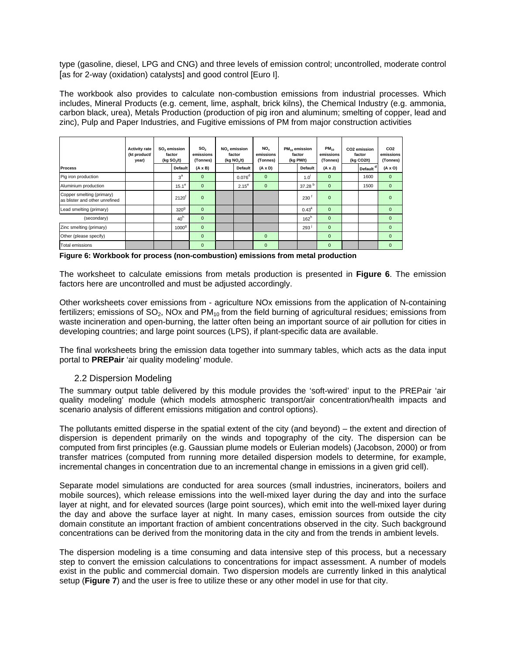type (gasoline, diesel, LPG and CNG) and three levels of emission control; uncontrolled, moderate control [as for 2-way (oxidation) catalysts] and good control [Euro I].

The workbook also provides to calculate non-combustion emissions from industrial processes. Which includes, Mineral Products (e.g. cement, lime, asphalt, brick kilns), the Chemical Industry (e.g. ammonia, carbon black, urea), Metals Production (production of pig iron and aluminum; smelting of copper, lead and zinc), Pulp and Paper Industries, and Fugitive emissions of PM from major construction activities

| <b>Process</b>                                              | <b>Activity rate</b><br>(kt product/<br>year) | SO <sub>2</sub> emission<br>factor<br>(kg $SO2/t$ )<br>Default | SO <sub>2</sub><br>emissions<br>(Tonnes)<br>$(A \times B)$ | NO <sub>x</sub> emission<br>factor<br>(kq NO <sub>x</sub> /t)<br><b>Default</b> | NO.<br>emissions<br>(Tonnes)<br>$(A \times D)$ | $PM_{10}$ emission<br>factor<br>(kg PM/t)<br><b>Default</b> | $PM_{10}$<br>emissions<br>(Tonnes)<br>$(A \times J)$ | CO2 emission<br>factor<br>(kg CO2/t) | CO <sub>2</sub><br>emissions<br>(Tonnes)<br>$(A \times O)$ |
|-------------------------------------------------------------|-----------------------------------------------|----------------------------------------------------------------|------------------------------------------------------------|---------------------------------------------------------------------------------|------------------------------------------------|-------------------------------------------------------------|------------------------------------------------------|--------------------------------------|------------------------------------------------------------|
| Pig iron production                                         |                                               | 3 <sup>a</sup>                                                 | $\mathbf{0}$                                               | 0.076 <sup>d</sup>                                                              | $\Omega$                                       |                                                             | $\Omega$                                             | Default<br>1600                      | $\mathbf{0}$                                               |
|                                                             |                                               |                                                                |                                                            |                                                                                 |                                                | 1.0                                                         |                                                      |                                      |                                                            |
| Aluminium production                                        |                                               | $15.1^e$                                                       | $\mathbf{0}$                                               | $2.15^{\circ}$                                                                  | $\mathbf{0}$                                   | 37.28 <sup>b</sup>                                          | $\Omega$                                             | 1500                                 | $\mathbf{0}$                                               |
| Copper smelting (primary)<br>as blister and other unrefined |                                               | $2120^{\mathrm{T}}$                                            | $\mathbf{0}$                                               |                                                                                 |                                                | 230                                                         | $\Omega$                                             |                                      | $\Omega$                                                   |
| Lead smelting (primary)                                     |                                               | 320 <sup>9</sup>                                               | $\mathbf{0}$                                               |                                                                                 |                                                | 0.43 <sup>k</sup>                                           | $\Omega$                                             |                                      | $\mathbf{0}$                                               |
| (secondary)                                                 |                                               | 40 <sup>h</sup>                                                | $\Omega$                                                   |                                                                                 |                                                | $162^h$                                                     | $\Omega$                                             |                                      | $\Omega$                                                   |
| Zinc smelting (primary)                                     |                                               | 1000 <sup>9</sup>                                              | $\mathbf{0}$                                               |                                                                                 |                                                | 293'                                                        | $\mathbf{0}$                                         |                                      | $\Omega$                                                   |
| Other (please specify)                                      |                                               |                                                                | $\mathbf{0}$                                               |                                                                                 | $\Omega$                                       |                                                             | $\Omega$                                             |                                      | $\Omega$                                                   |
| <b>Total emissions</b>                                      |                                               |                                                                | $\mathbf{0}$                                               |                                                                                 | $\Omega$                                       |                                                             | $\Omega$                                             |                                      | $\mathbf{0}$                                               |

**Figure 6: Workbook for process (non-combustion) emissions from metal production** 

The worksheet to calculate emissions from metals production is presented in **Figure 6**. The emission factors here are uncontrolled and must be adjusted accordingly.

Other worksheets cover emissions from - agriculture NOx emissions from the application of N-containing fertilizers; emissions of  $SO_2$ , NOx and PM<sub>10</sub> from the field burning of agricultural residues; emissions from waste incineration and open-burning, the latter often being an important source of air pollution for cities in developing countries; and large point sources (LPS), if plant-specific data are available.

The final worksheets bring the emission data together into summary tables, which acts as the data input portal to **PREPair** 'air quality modeling' module.

### 2.2 Dispersion Modeling

The summary output table delivered by this module provides the 'soft-wired' input to the PREPair 'air quality modeling' module (which models atmospheric transport/air concentration/health impacts and scenario analysis of different emissions mitigation and control options).

The pollutants emitted disperse in the spatial extent of the city (and beyond) – the extent and direction of dispersion is dependent primarily on the winds and topography of the city. The dispersion can be computed from first principles (e.g. Gaussian plume models or Eulerian models) (Jacobson, 2000) or from transfer matrices (computed from running more detailed dispersion models to determine, for example, incremental changes in concentration due to an incremental change in emissions in a given grid cell).

Separate model simulations are conducted for area sources (small industries, incinerators, boilers and mobile sources), which release emissions into the well-mixed layer during the day and into the surface layer at night, and for elevated sources (large point sources), which emit into the well-mixed layer during the day and above the surface layer at night. In many cases, emission sources from outside the city domain constitute an important fraction of ambient concentrations observed in the city. Such background concentrations can be derived from the monitoring data in the city and from the trends in ambient levels.

The dispersion modeling is a time consuming and data intensive step of this process, but a necessary step to convert the emission calculations to concentrations for impact assessment. A number of models exist in the public and commercial domain. Two dispersion models are currently linked in this analytical setup (**Figure 7**) and the user is free to utilize these or any other model in use for that city.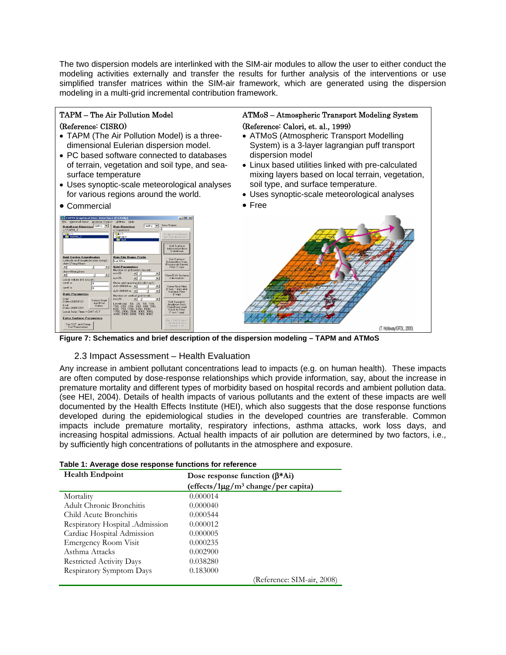The two dispersion models are interlinked with the SIM-air modules to allow the user to either conduct the modeling activities externally and transfer the results for further analysis of the interventions or use simplified transfer matrices within the SIM-air framework, which are generated using the dispersion modeling in a multi-grid incremental contribution framework.

## TAPM – The Air Pollution Model

### (Reference: CISRO)

- TAPM (The Air Pollution Model) is a threedimensional Eulerian dispersion model.
- PC based software connected to databases of terrain, vegetation and soil type, and seasurface temperature
- Uses synoptic-scale meteorological analyses for various regions around the world.
- Commercial

| TAPM Graphical User Interface (F1:Help)                                                                                                                                                                                                                                                                                                                                                                                                             | Analyse Output Utilities Help                                                                                                                                                                                                                                                                                                                                                                                                                                            | $-101 \times$                                                                                                                                                                                                                                                                                                                                    |
|-----------------------------------------------------------------------------------------------------------------------------------------------------------------------------------------------------------------------------------------------------------------------------------------------------------------------------------------------------------------------------------------------------------------------------------------------------|--------------------------------------------------------------------------------------------------------------------------------------------------------------------------------------------------------------------------------------------------------------------------------------------------------------------------------------------------------------------------------------------------------------------------------------------------------------------------|--------------------------------------------------------------------------------------------------------------------------------------------------------------------------------------------------------------------------------------------------------------------------------------------------------------------------------------------------|
| Optional Input                                                                                                                                                                                                                                                                                                                                                                                                                                      | $\bigoplus$ c: $\blacktriangledown$                                                                                                                                                                                                                                                                                                                                                                                                                                      | New Name:                                                                                                                                                                                                                                                                                                                                        |
| File                                                                                                                                                                                                                                                                                                                                                                                                                                                | <b>Bun Directory</b>                                                                                                                                                                                                                                                                                                                                                                                                                                                     | Make New Name                                                                                                                                                                                                                                                                                                                                    |
| DataBase Directory $\Rightarrow c$ <b>x</b>                                                                                                                                                                                                                                                                                                                                                                                                         | c:\tanm\test                                                                                                                                                                                                                                                                                                                                                                                                                                                             | for Bun Directory                                                                                                                                                                                                                                                                                                                                |
| c:\TAPM 2                                                                                                                                                                                                                                                                                                                                                                                                                                           | <b>Calc</b>                                                                                                                                                                                                                                                                                                                                                                                                                                                              | <b>Get Surface</b>                                                                                                                                                                                                                                                                                                                               |
| <b>Ca</b> c'                                                                                                                                                                                                                                                                                                                                                                                                                                        | <b>V</b> tapm                                                                                                                                                                                                                                                                                                                                                                                                                                                            | Information from                                                                                                                                                                                                                                                                                                                                 |
| TAPM <sub>2</sub>                                                                                                                                                                                                                                                                                                                                                                                                                                   | <b>T</b> test                                                                                                                                                                                                                                                                                                                                                                                                                                                            | DataBase                                                                                                                                                                                                                                                                                                                                         |
| <b>Grid Centre Coordinates</b><br>Latitude and longitude (clat.clong) ;<br>clat=27deg45min<br>▸│<br>clon=85deg2min<br>$\blacksquare$<br>٠I<br>Local values [m] [cx,cy] :<br>$c \times n \Omega$ m<br>lo<br>$cv = 0$ m<br>lo<br><b>Date Parameters</b><br>Start<br>Select Start<br>Date=20050101<br>and End<br>End<br>Dates<br>Date=20051231<br>Local Solar Time - GMT+5.7<br><b>Extra Surface Parameters</b><br>Set SST and Deep<br>Soil Parameters | <b>Bun File Name Prefix</b><br>kat300a<br><b>Grid Parameters</b><br>Number of grid points [ns,ny] ;<br>$n = 25$<br>▸│<br>×1<br>$nv = 25$<br>$\blacksquare$<br>Duter grid spacing (m) (dx1,dv1);<br>$dx1 = 30000 m$<br>▸∣<br>$d$ v1-30000 m + $ $<br>ы<br>Number of vertical grid levels :<br>$n = 25$<br>٠I<br>Levels (m): 10, 25, 50, 100,<br>150, 200, 250, 300, 400, 500,<br>600. 750. 1000. 1250. 1500.<br>1750, 2000, 2500, 3000, 3500,<br>4000.5000.6000.7000.8000 | <br><b>Get Surface</b><br>Information from<br>Previously Saved<br>Files [ <sup>x</sup> .top]<br>View/Edit Surface<br>Information<br>Save Ruo Files<br>P.bat. Kinpl and<br>Surface Files<br>$f$ .top)<br><b>Get Synoptic</b><br>Analyses from<br>DataBase and<br>Save to Files<br>[".syn,".syg]<br>Bun TAPM from<br>Information in<br>Saved Files |

## ATMoS – Atmospheric Transport Modeling System (Reference: Calori, et. al., 1999)

- ATMoS (Atmospheric Transport Modelling System) is a 3-layer lagrangian puff transport dispersion model
- Linux based utilities linked with pre-calculated mixing layers based on local terrain, vegetation, soil type, and surface temperature.
- Uses synoptic-scale meteorological analyses
- Free



**Figure 7: Schematics and brief description of the dispersion modeling – TAPM and ATMoS** 

## 2.3 Impact Assessment – Health Evaluation

Any increase in ambient pollutant concentrations lead to impacts (e.g. on human health). These impacts are often computed by dose-response relationships which provide information, say, about the increase in premature mortality and different types of morbidity based on hospital records and ambient pollution data. (see HEI, 2004). Details of health impacts of various pollutants and the extent of these impacts are well documented by the Health Effects Institute (HEI), which also suggests that the dose response functions developed during the epidemiological studies in the developed countries are transferable. Common impacts include premature mortality, respiratory infections, asthma attacks, work loss days, and increasing hospital admissions. Actual health impacts of air pollution are determined by two factors, i.e., by sufficiently high concentrations of pollutants in the atmosphere and exposure.

| Table 1: Average dose response functions for reference |
|--------------------------------------------------------|
|--------------------------------------------------------|

| <b>Health Endpoint</b>          | Dose response function $(\beta^* A_i)$<br>(effects/ $1\mu g/m^3$ change/per capita) |
|---------------------------------|-------------------------------------------------------------------------------------|
| Mortality                       | 0.000014                                                                            |
| Adult Chronic Bronchitis        | 0.000040                                                                            |
| Child Acute Bronchitis          | 0.000544                                                                            |
| Respiratory Hospital .Admission | 0.000012                                                                            |
| Cardiac Hospital Admission      | 0.000005                                                                            |
| Emergency Room Visit            | 0.000235                                                                            |
| Asthma Attacks                  | 0.002900                                                                            |
| <b>Restricted Activity Days</b> | 0.038280                                                                            |
| Respiratory Symptom Days        | 0.183000                                                                            |
|                                 | (Reference: SIM-air, 2008)                                                          |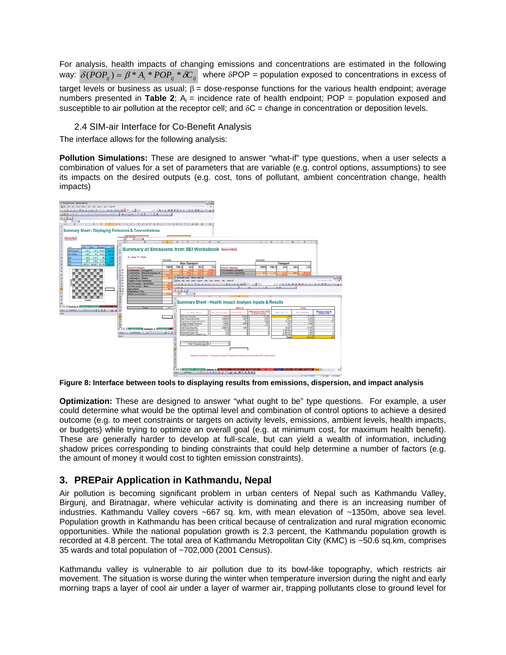For analysis, health impacts of changing emissions and concentrations are estimated in the following way:  $\delta (POP_{ii}) = \beta * A_i * POP_{ii} * \delta C_{ii}$  where  $\delta POP =$  population exposed to concentrations in excess of target levels or business as usual;  $β =$  dose-response functions for the various health endpoint; average numbers presented in **Table 2**;  $A_i$  = incidence rate of health endpoint; POP = population exposed and susceptible to air pollution at the receptor cell; and  $\delta C$  = change in concentration or deposition levels.

2.4 SIM-air Interface for Co-Benefit Analysis

The interface allows for the following analysis:

**Pollution Simulations:** These are designed to answer "what-if" type questions, when a user selects a combination of values for a set of parameters that are variable (e.g. control options, assumptions) to see its impacts on the desired outputs (e.g. cost, tons of pollutant, ambient concentration change, health impacts)



**Figure 8: Interface between tools to displaying results from emissions, dispersion, and impact analysis** 

**Optimization:** These are designed to answer "what ought to be" type questions. For example, a user could determine what would be the optimal level and combination of control options to achieve a desired outcome (e.g. to meet constraints or targets on activity levels, emissions, ambient levels, health impacts, or budgets) while trying to optimize an overall goal (e.g. at minimum cost, for maximum health benefit). These are generally harder to develop at full-scale, but can yield a wealth of information, including shadow prices corresponding to binding constraints that could help determine a number of factors (e.g. the amount of money it would cost to tighten emission constraints).

## **3. PREPair Application in Kathmandu, Nepal**

Air pollution is becoming significant problem in urban centers of Nepal such as Kathmandu Valley, Birgunj, and Biratnagar, where vehicular activity is dominating and there is an increasing number of industries. Kathmandu Valley covers ~667 sq. km, with mean elevation of ~1350m, above sea level. Population growth in Kathmandu has been critical because of centralization and rural migration economic opportunities. While the national population growth is 2.3 percent, the Kathmandu population growth is recorded at 4.8 percent. The total area of Kathmandu Metropolitan City (KMC) is ~50.6 sq.km, comprises 35 wards and total population of ~702,000 (2001 Census).

Kathmandu valley is vulnerable to air pollution due to its bowl-like topography, which restricts air movement. The situation is worse during the winter when temperature inversion during the night and early morning traps a layer of cool air under a layer of warmer air, trapping pollutants close to ground level for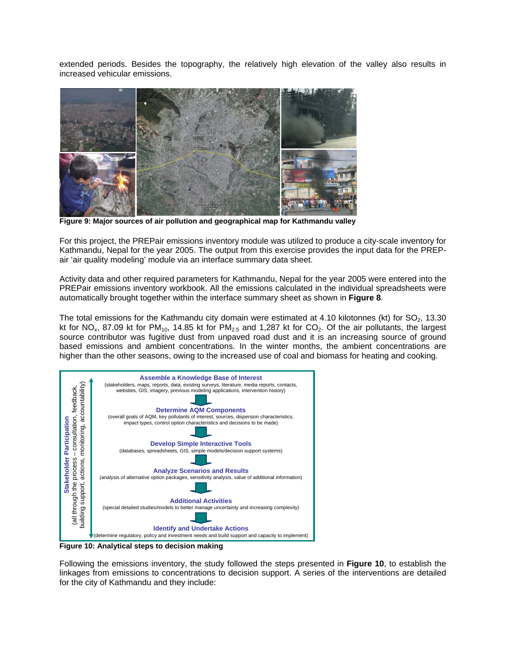extended periods. Besides the topography, the relatively high elevation of the valley also results in increased vehicular emissions.



**Figure 9: Major sources of air pollution and geographical map for Kathmandu valley**

For this project, the PREPair emissions inventory module was utilized to produce a city-scale inventory for Kathmandu, Nepal for the year 2005. The output from this exercise provides the input data for the PREPair 'air quality modeling' module via an interface summary data sheet.

Activity data and other required parameters for Kathmandu, Nepal for the year 2005 were entered into the PREPair emissions inventory workbook. All the emissions calculated in the individual spreadsheets were automatically brought together within the interface summary sheet as shown in **Figure 8**.

The total emissions for the Kathmandu city domain were estimated at 4.10 kilotonnes (kt) for  $SO_2$ , 13.30 kt for NO<sub>x</sub>, 87.09 kt for PM<sub>10</sub>, 14.85 kt for PM<sub>2.5</sub> and 1,287 kt for CO<sub>2</sub>. Of the air pollutants, the largest source contributor was fugitive dust from unpaved road dust and it is an increasing source of ground based emissions and ambient concentrations. In the winter months, the ambient concentrations are higher than the other seasons, owing to the increased use of coal and biomass for heating and cooking.



**Figure 10: Analytical steps to decision making** 

Following the emissions inventory, the study followed the steps presented in **Figure 10**, to establish the linkages from emissions to concentrations to decision support. A series of the interventions are detailed for the city of Kathmandu and they include: